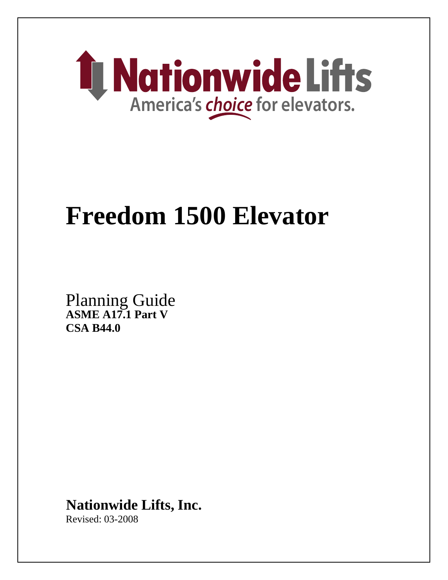

# **Freedom 1500 Elevator**

**ASME A17.1 Part V CSA B44.0**  Planning Guide

**Nationwide Lifts, Inc.**

Revised: 03-2008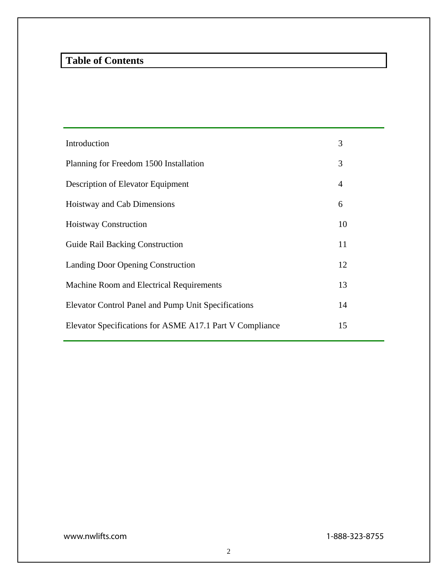# **Table of Contents**

| Introduction                                               | 3              |
|------------------------------------------------------------|----------------|
| Planning for Freedom 1500 Installation                     | 3              |
| Description of Elevator Equipment                          | $\overline{4}$ |
| Hoistway and Cab Dimensions                                | 6              |
| <b>Hoistway Construction</b>                               | 10             |
| <b>Guide Rail Backing Construction</b>                     | 11             |
| Landing Door Opening Construction                          | 12             |
| Machine Room and Electrical Requirements                   | 13             |
| <b>Elevator Control Panel and Pump Unit Specifications</b> | 14             |
| Elevator Specifications for ASME A17.1 Part V Compliance   | 15             |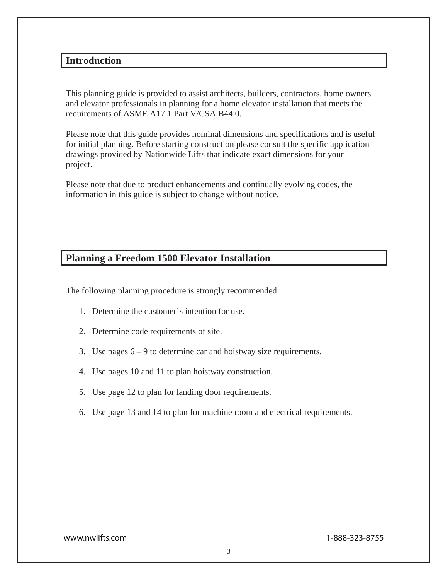# **Introduction**

This planning guide is provided to assist architects, builders, contractors, home owners and elevator professionals in planning for a home elevator installation that meets the requirements of ASME A17.1 Part V/CSA B44.0.

Please note that this guide provides nominal dimensions and specifications and is useful for initial planning. Before starting construction please consult the specific application drawings provided by Nationwide Lifts that indicate exact dimensions for your project.

Please note that due to product enhancements and continually evolving codes, the information in this guide is subject to change without notice.

# **Planning a Freedom 1500 Elevator Installation**

The following planning procedure is strongly recommended:

- 1. Determine the customer's intention for use.
- 2. Determine code requirements of site.
- 3. Use pages 6 9 to determine car and hoistway size requirements.
- 4. Use pages 10 and 11 to plan hoistway construction.
- 5. Use page 12 to plan for landing door requirements.
- 6. Use page 13 and 14 to plan for machine room and electrical requirements.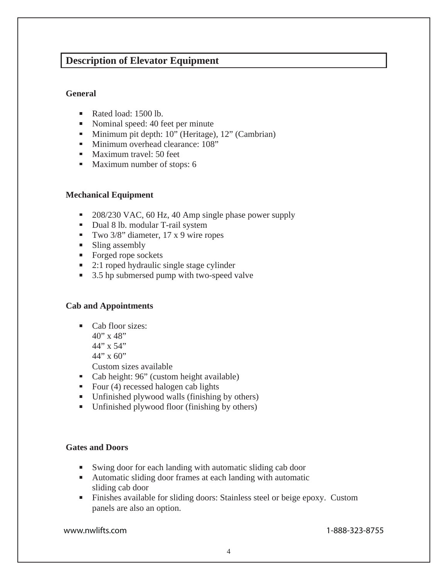# **Description of Elevator Equipment**

#### **General**

- Rated load: 1500 lb.
- Nominal speed: 40 feet per minute
- **Minimum pit depth: 10" (Heritage), 12" (Cambrian)**
- **Minimum overhead clearance: 108"**
- **Maximum travel: 50 feet**
- **Maximum number of stops: 6**

# **Mechanical Equipment**

- 208/230 VAC, 60 Hz, 40 Amp single phase power supply
- Dual 8 lb. modular T-rail system
- Two  $3/8$ " diameter, 17 x 9 wire ropes
- **Sling assembly**
- Forged rope sockets
- 2:1 roped hydraulic single stage cylinder
- 3.5 hp submersed pump with two-speed valve

# **Cab and Appointments**

- Cab floor sizes:
	- $40''$  x 48"
	- 44" x 54"
	- $44''$  x 60"

Custom sizes available

- Cab height: 96" (custom height available)
- Four  $(4)$  recessed halogen cab lights
- Unfinished plywood walls (finishing by others)
- Unfinished plywood floor (finishing by others)

# **Gates and Doors**

- Swing door for each landing with automatic sliding cab door
- Automatic sliding door frames at each landing with automatic sliding cab door
- Finishes available for sliding doors: Stainless steel or beige epoxy. Custom panels are also an option.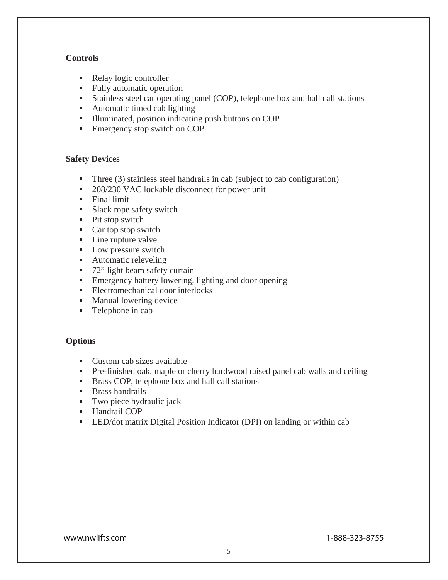#### **Controls**

- $\blacksquare$ Relay logic controller
- **Fully automatic operation**
- Stainless steel car operating panel (COP), telephone box and hall call stations
- Automatic timed cab lighting
- Illuminated, position indicating push buttons on COP
- **Emergency stop switch on COP**

#### **Safety Devices**

- Three (3) stainless steel handrails in cab (subject to cab configuration)
- 208/230 VAC lockable disconnect for power unit
- $\blacksquare$  Final limit
- Slack rope safety switch
- Pit stop switch
- $\blacksquare$  Car top stop switch
- **Line rupture valve**
- **Low pressure switch**
- **Automatic releveling**
- 72" light beam safety curtain
- **Emergency battery lowering, lighting and door opening**
- Electromechanical door interlocks
- **Manual lowering device**
- **Telephone in cab**

# **Options**

- Custom cab sizes available
- **Pre-finished oak, maple or cherry hardwood raised panel cab walls and ceiling**
- Brass COP, telephone box and hall call stations
- Brass handrails
- **Two piece hydraulic jack**
- **Handrail COP**
- **LED/dot matrix Digital Position Indicator (DPI) on landing or within cab**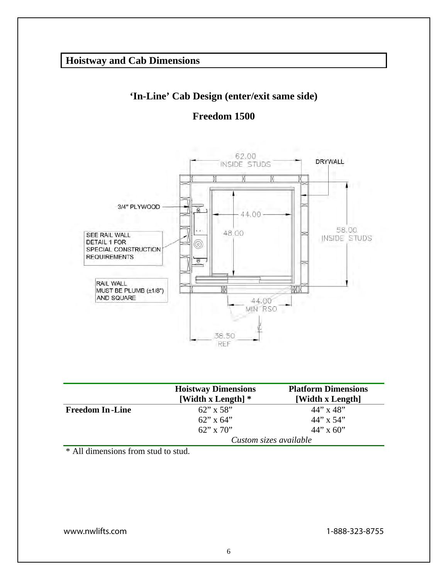# **'In-Line' Cab Design (enter/exit same side)**

# **Freedom 1500**



|                        | <b>Hoistway Dimensions</b><br>[Width x Length] $*$ | <b>Platform Dimensions</b><br>[Width x Length] |
|------------------------|----------------------------------------------------|------------------------------------------------|
| <b>Freedom In-Line</b> | $62$ " x 58"                                       | $44$ " x $48$ "                                |
|                        | $62$ " x $64$ "                                    | $44$ " x 54"                                   |
|                        | $62$ " x 70"                                       | $44$ " x 60"                                   |
|                        | Custom sizes available                             |                                                |

\* All dimensions from stud to stud.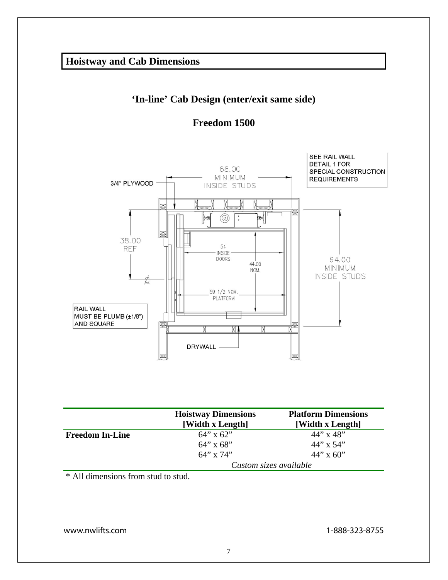# **'In-line' Cab Design (enter/exit same side)**





|                        | <b>Hoistway Dimensions</b><br>[Width x Length] | <b>Platform Dimensions</b><br>[Width x Length] |
|------------------------|------------------------------------------------|------------------------------------------------|
| <b>Freedom In-Line</b> | $64$ " x $62$ "                                | $44''$ x $48''$                                |
|                        | $64$ " x $68$ "                                | $44$ " x 54"                                   |
|                        | $64''$ x $74''$                                | $44$ " x 60"                                   |
|                        | Custom sizes available                         |                                                |

\* All dimensions from stud to stud.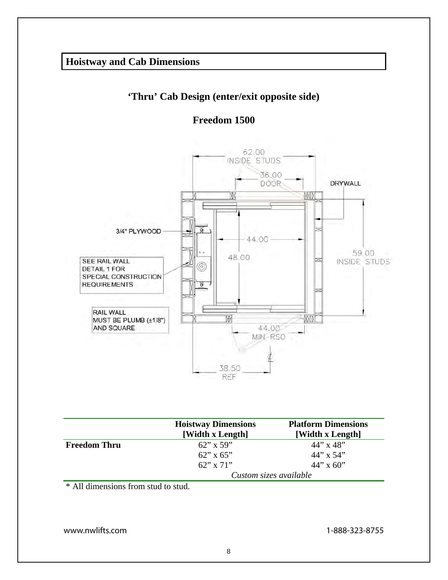# **'Thru' Cab Design (enter/exit opposite side)**

**Freedom 1500**



|                     | <b>Hoistway Dimensions</b><br>[Width x Length] | <b>Platform Dimensions</b><br>[Width x Length] |
|---------------------|------------------------------------------------|------------------------------------------------|
| <b>Freedom Thru</b> | $62$ " x 59"                                   | $44$ " x $48$ "                                |
|                     | $62$ " x $65$ "                                | $44$ " x 54"                                   |
|                     | $62''$ x $71''$                                | $44$ " x 60"                                   |
|                     | Custom sizes available                         |                                                |

\* All dimensions from stud to stud.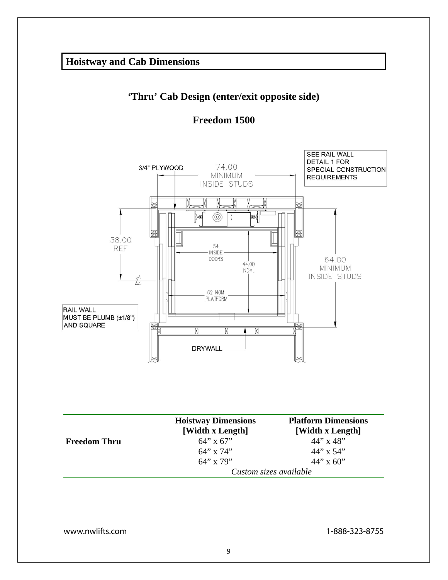# **'Thru' Cab Design (enter/exit opposite side)**





|                     | <b>Hoistway Dimensions</b><br>[Width x Length] | <b>Platform Dimensions</b><br>[Width x Length] |
|---------------------|------------------------------------------------|------------------------------------------------|
| <b>Freedom Thru</b> | $64''$ x $67''$                                | $44$ " x $48$ "                                |
|                     | $64''$ x $74''$                                | $44$ " x 54"                                   |
|                     | $64''$ x 79"                                   | $44''$ x 60"                                   |
|                     | Custom sizes available                         |                                                |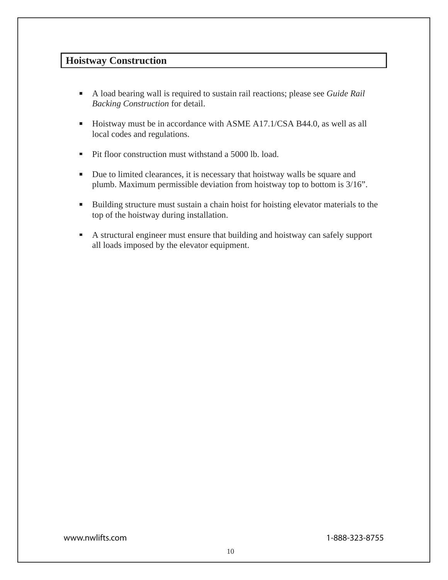# **Hoistway Construction**

- A load bearing wall is required to sustain rail reactions; please see *Guide Rail Backing Construction* for detail.
- Hoistway must be in accordance with ASME A17.1/CSA B44.0, as well as all local codes and regulations.
- Pit floor construction must withstand a 5000 lb. load. Ξ
- Due to limited clearances, it is necessary that hoistway walls be square and plumb. Maximum permissible deviation from hoistway top to bottom is 3/16".
- Building structure must sustain a chain hoist for hoisting elevator materials to the top of the hoistway during installation.
- A structural engineer must ensure that building and hoistway can safely support all loads imposed by the elevator equipment.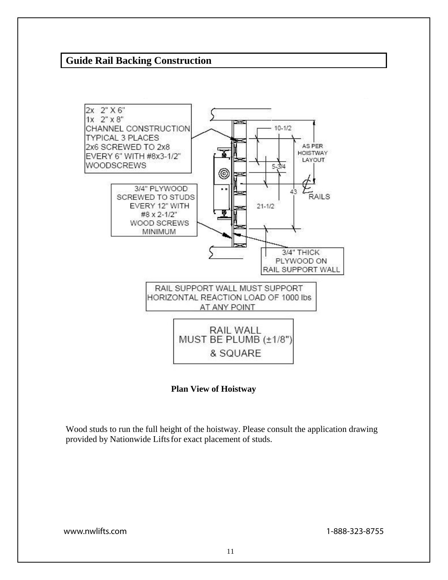# **Guide Rail Backing Construction**



#### **Plan View of Hoistway**

Wood studs to run the full height of the hoistway. Please consult the application drawing provided by Nationwide Lifts for exact placement of studs.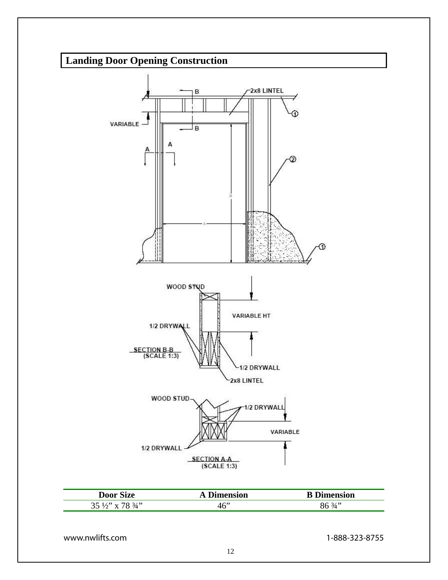# **Landing Door Opening Construction**



| <b>Door Size</b>                       | A Dimension | <b>B</b> Dimension |
|----------------------------------------|-------------|--------------------|
| $35\frac{1}{2}$ " x 78 $\frac{3}{4}$ " | 46"         | $86\frac{3}{4}$    |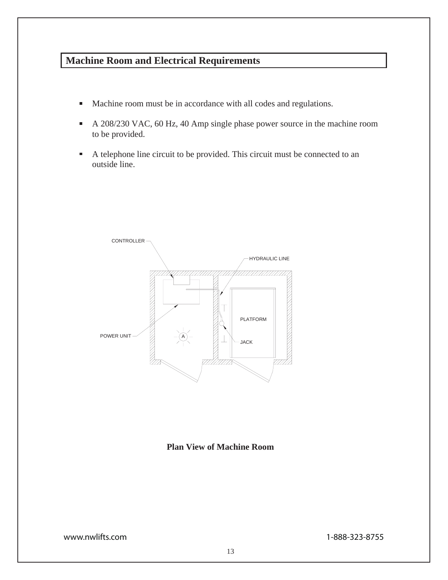# **Machine Room and Electrical Requirements**

- Machine room must be in accordance with all codes and regulations.  $\blacksquare$
- A 208/230 VAC, 60 Hz, 40 Amp single phase power source in the machine room  $\blacksquare$ to be provided.
- A telephone line circuit to be provided. This circuit must be connected to an  $\blacksquare$ outside line.



#### **Plan View of Machine Room**

www.nwlifts.com 1-888-323-8755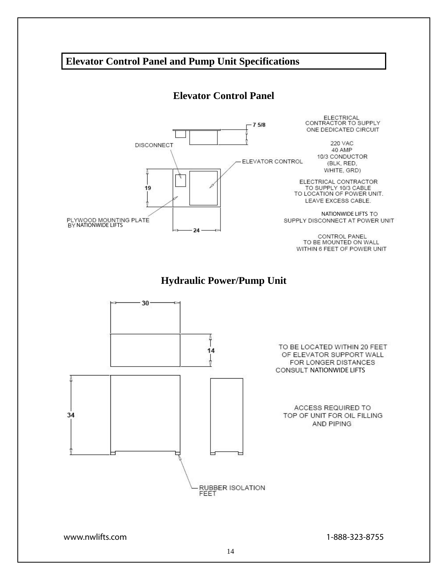# **Elevator Control Panel and Pump Unit Specifications**

# **Elevator Control Panel**

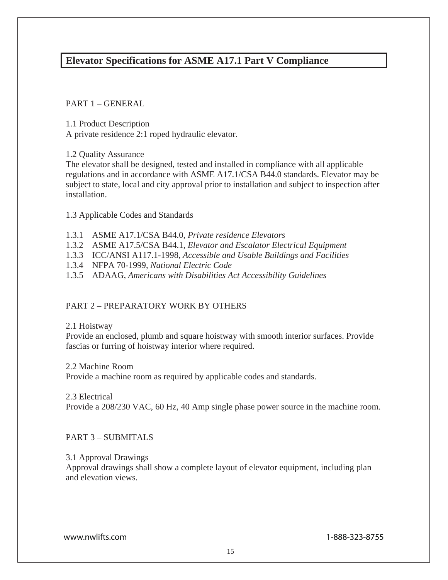# **Elevator Specifications for ASME A17.1 Part V Compliance**

PART 1 – GENERAL

1.1 Product Description

A private residence 2:1 roped hydraulic elevator.

1.2 Quality Assurance

The elevator shall be designed, tested and installed in compliance with all applicable regulations and in accordance with ASME A17.1/CSA B44.0 standards. Elevator may be subject to state, local and city approval prior to installation and subject to inspection after installation.

1.3 Applicable Codes and Standards

- 1.3.1 ASME A17.1/CSA B44.0, *Private residence Elevators*
- 1.3.2 ASME A17.5/CSA B44.1, *Elevator and Escalator Electrical Equipment*
- 1.3.3 ICC/ANSI A117.1-1998, *Accessible and Usable Buildings and Facilities*
- 1.3.4 NFPA 70-1999, *National Electric Code*
- 1.3.5 ADAAG, *Americans with Disabilities Act Accessibility Guidelines*

# PART 2 – PREPARATORY WORK BY OTHERS

#### 2.1 Hoistway

Provide an enclosed, plumb and square hoistway with smooth interior surfaces. Provide fascias or furring of hoistway interior where required.

2.2 Machine Room

Provide a machine room as required by applicable codes and standards.

#### 2.3 Electrical

Provide a 208/230 VAC, 60 Hz, 40 Amp single phase power source in the machine room.

# PART 3 – SUBMITALS

# 3.1 Approval Drawings

Approval drawings shall show a complete layout of elevator equipment, including plan and elevation views.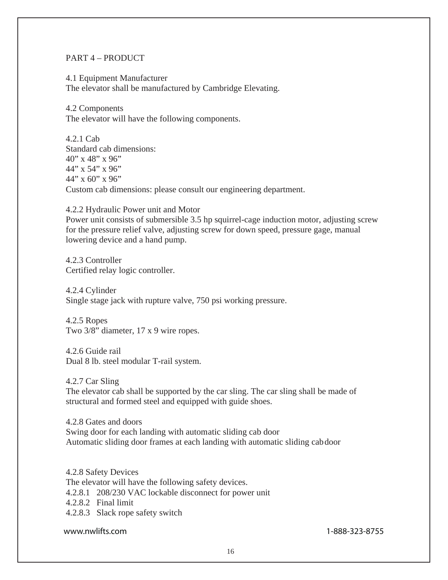#### PART 4 – PRODUCT

4.1 Equipment Manufacturer The elevator shall be manufactured by Cambridge Elevating.

4.2 Components The elevator will have the following components.

4.2.1 Cab Standard cab dimensions: 40" x 48" x 96" 44" x 54" x 96" 44" x 60" x 96" Custom cab dimensions: please consult our engineering department.

4.2.2 Hydraulic Power unit and Motor Power unit consists of submersible 3.5 hp squirrel-cage induction motor, adjusting screw for the pressure relief valve, adjusting screw for down speed, pressure gage, manual lowering device and a hand pump.

4.2.3 Controller Certified relay logic controller.

4.2.4 Cylinder Single stage jack with rupture valve, 750 psi working pressure.

4.2.5 Ropes Two 3/8" diameter, 17 x 9 wire ropes.

4.2.6 Guide rail Dual 8 lb. steel modular T-rail system.

4.2.7 Car Sling The elevator cab shall be supported by the car sling. The car sling shall be made of structural and formed steel and equipped with guide shoes.

4.2.8 Gates and doors Swing door for each landing with automatic sliding cab door Automatic sliding door frames at each landing with automatic sliding cab door

4.2.8 Safety Devices The elevator will have the following safety devices. 4.2.8.1 208/230 VAC lockable disconnect for power unit 4.2.8.2 Final limit 4.2.8.3 Slack rope safety switch